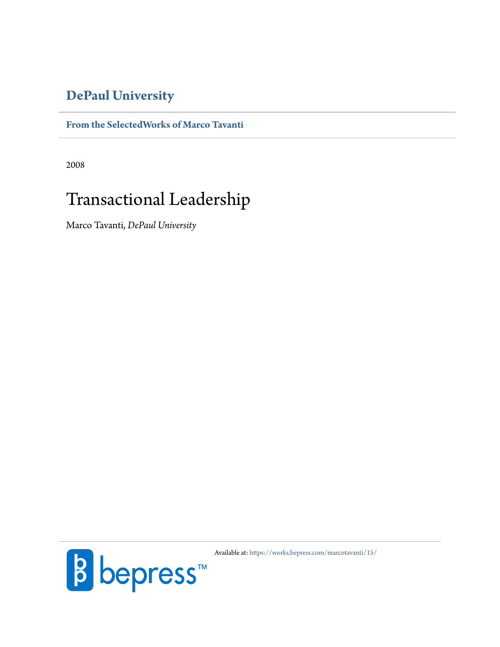## **[DePaul University](http://www.depaul.edu)**

### **[From the SelectedWorks of Marco Tavanti](https://works.bepress.com/marcotavanti/)**

2008

# Transactional Leadership

Marco Tavanti, *DePaul University*



Available at: <https://works.bepress.com/marcotavanti/15/>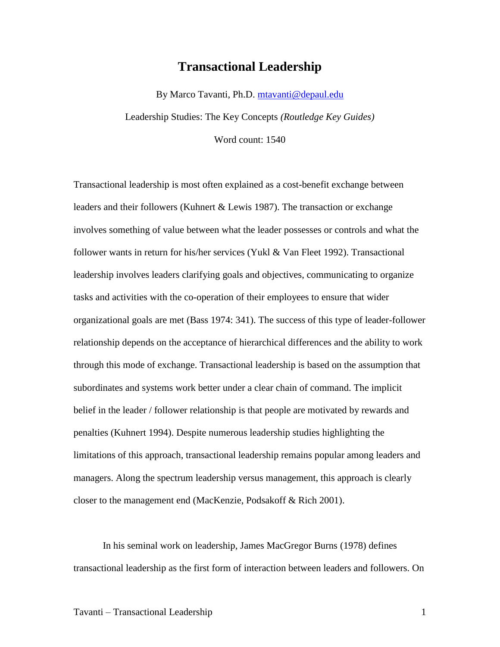## **Transactional Leadership**

By Marco Tavanti, Ph.D. [mtavanti@depaul.edu](mailto:mtavanti@depaul.edu) Leadership Studies: The Key Concepts *(Routledge Key Guides)*

Word count: 1540

Transactional leadership is most often explained as a cost-benefit exchange between leaders and their followers (Kuhnert & Lewis 1987). The transaction or exchange involves something of value between what the leader possesses or controls and what the follower wants in return for his/her services (Yukl & Van Fleet 1992). Transactional leadership involves leaders clarifying goals and objectives, communicating to organize tasks and activities with the co-operation of their employees to ensure that wider organizational goals are met (Bass 1974: 341). The success of this type of leader-follower relationship depends on the acceptance of hierarchical differences and the ability to work through this mode of exchange. Transactional leadership is based on the assumption that subordinates and systems work better under a clear chain of command. The implicit belief in the leader / follower relationship is that people are motivated by rewards and penalties (Kuhnert 1994). Despite numerous leadership studies highlighting the limitations of this approach, transactional leadership remains popular among leaders and managers. Along the spectrum leadership versus management, this approach is clearly closer to the management end (MacKenzie, Podsakoff & Rich 2001).

In his seminal work on leadership, James MacGregor Burns (1978) defines transactional leadership as the first form of interaction between leaders and followers. On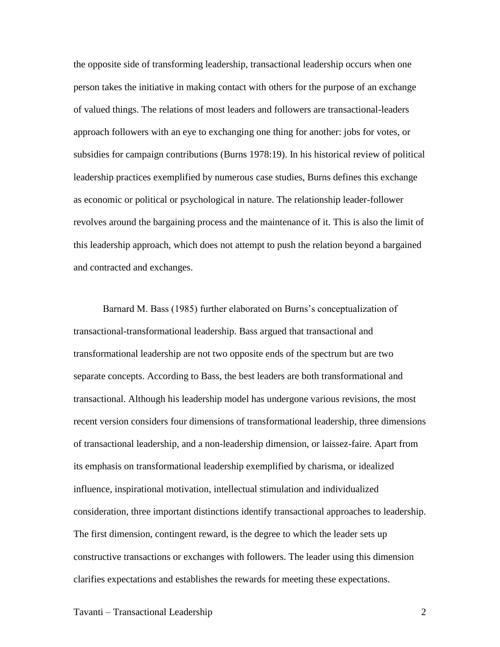the opposite side of transforming leadership, transactional leadership occurs when one person takes the initiative in making contact with others for the purpose of an exchange of valued things. The relations of most leaders and followers are transactional-leaders approach followers with an eye to exchanging one thing for another: jobs for votes, or subsidies for campaign contributions (Burns 1978:19). In his historical review of political leadership practices exemplified by numerous case studies, Burns defines this exchange as economic or political or psychological in nature. The relationship leader-follower revolves around the bargaining process and the maintenance of it. This is also the limit of this leadership approach, which does not attempt to push the relation beyond a bargained and contracted and exchanges.

Barnard M. Bass (1985) further elaborated on Burns's conceptualization of transactional-transformational leadership. Bass argued that transactional and transformational leadership are not two opposite ends of the spectrum but are two separate concepts. According to Bass, the best leaders are both transformational and transactional. Although his leadership model has undergone various revisions, the most recent version considers four dimensions of transformational leadership, three dimensions of transactional leadership, and a non-leadership dimension, or laissez-faire. Apart from its emphasis on transformational leadership exemplified by charisma, or idealized influence, inspirational motivation, intellectual stimulation and individualized consideration, three important distinctions identify transactional approaches to leadership. The first dimension, contingent reward, is the degree to which the leader sets up constructive transactions or exchanges with followers. The leader using this dimension clarifies expectations and establishes the rewards for meeting these expectations.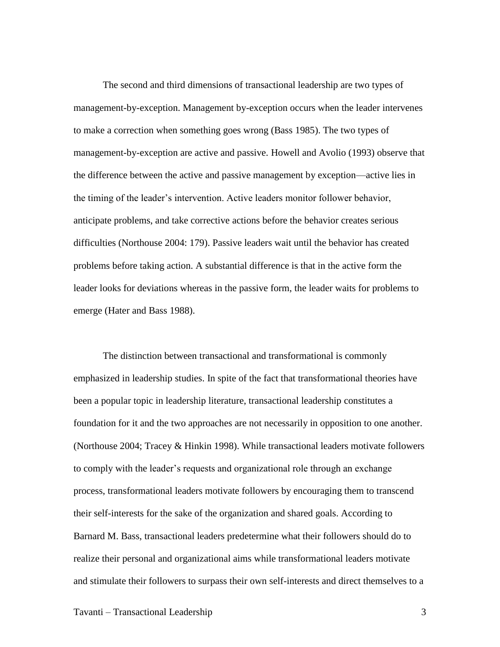The second and third dimensions of transactional leadership are two types of management-by-exception. Management by-exception occurs when the leader intervenes to make a correction when something goes wrong (Bass 1985). The two types of management-by-exception are active and passive. Howell and Avolio (1993) observe that the difference between the active and passive management by exception—active lies in the timing of the leader's intervention. Active leaders monitor follower behavior, anticipate problems, and take corrective actions before the behavior creates serious difficulties (Northouse 2004: 179). Passive leaders wait until the behavior has created problems before taking action. A substantial difference is that in the active form the leader looks for deviations whereas in the passive form, the leader waits for problems to emerge (Hater and Bass 1988).

The distinction between transactional and transformational is commonly emphasized in leadership studies. In spite of the fact that transformational theories have been a popular topic in leadership literature, transactional leadership constitutes a foundation for it and the two approaches are not necessarily in opposition to one another. (Northouse 2004; Tracey & Hinkin 1998). While transactional leaders motivate followers to comply with the leader's requests and organizational role through an exchange process, transformational leaders motivate followers by encouraging them to transcend their self-interests for the sake of the organization and shared goals. According to Barnard M. Bass, transactional leaders predetermine what their followers should do to realize their personal and organizational aims while transformational leaders motivate and stimulate their followers to surpass their own self-interests and direct themselves to a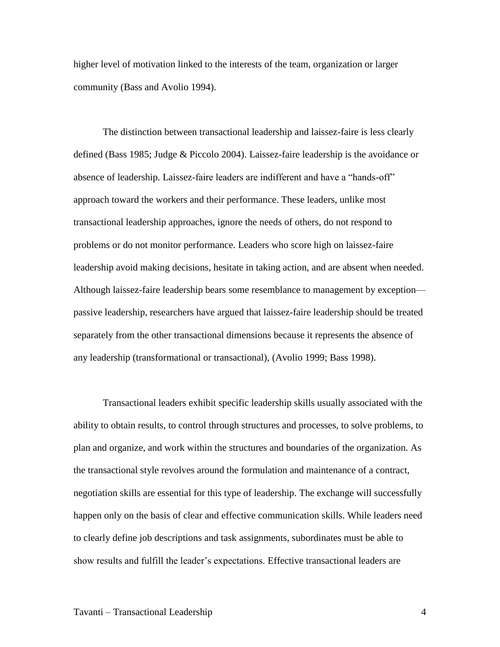higher level of motivation linked to the interests of the team, organization or larger community (Bass and Avolio 1994).

The distinction between transactional leadership and laissez-faire is less clearly defined (Bass 1985; Judge & Piccolo 2004). Laissez-faire leadership is the avoidance or absence of leadership. Laissez-faire leaders are indifferent and have a "hands-off" approach toward the workers and their performance. These leaders, unlike most transactional leadership approaches, ignore the needs of others, do not respond to problems or do not monitor performance. Leaders who score high on laissez-faire leadership avoid making decisions, hesitate in taking action, and are absent when needed. Although laissez-faire leadership bears some resemblance to management by exception passive leadership, researchers have argued that laissez-faire leadership should be treated separately from the other transactional dimensions because it represents the absence of any leadership (transformational or transactional), (Avolio 1999; Bass 1998).

Transactional leaders exhibit specific leadership skills usually associated with the ability to obtain results, to control through structures and processes, to solve problems, to plan and organize, and work within the structures and boundaries of the organization. As the transactional style revolves around the formulation and maintenance of a contract, negotiation skills are essential for this type of leadership. The exchange will successfully happen only on the basis of clear and effective communication skills. While leaders need to clearly define job descriptions and task assignments, subordinates must be able to show results and fulfill the leader's expectations. Effective transactional leaders are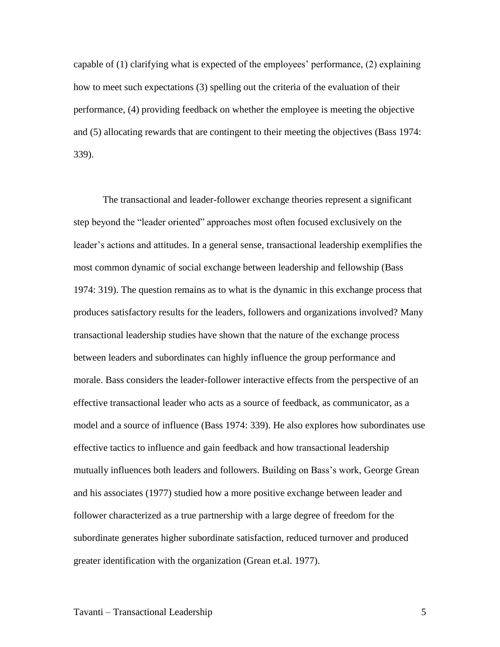capable of (1) clarifying what is expected of the employees' performance, (2) explaining how to meet such expectations (3) spelling out the criteria of the evaluation of their performance, (4) providing feedback on whether the employee is meeting the objective and (5) allocating rewards that are contingent to their meeting the objectives (Bass 1974: 339).

The transactional and leader-follower exchange theories represent a significant step beyond the "leader oriented" approaches most often focused exclusively on the leader's actions and attitudes. In a general sense, transactional leadership exemplifies the most common dynamic of social exchange between leadership and fellowship (Bass 1974: 319). The question remains as to what is the dynamic in this exchange process that produces satisfactory results for the leaders, followers and organizations involved? Many transactional leadership studies have shown that the nature of the exchange process between leaders and subordinates can highly influence the group performance and morale. Bass considers the leader-follower interactive effects from the perspective of an effective transactional leader who acts as a source of feedback, as communicator, as a model and a source of influence (Bass 1974: 339). He also explores how subordinates use effective tactics to influence and gain feedback and how transactional leadership mutually influences both leaders and followers. Building on Bass's work, George Grean and his associates (1977) studied how a more positive exchange between leader and follower characterized as a true partnership with a large degree of freedom for the subordinate generates higher subordinate satisfaction, reduced turnover and produced greater identification with the organization (Grean et.al. 1977).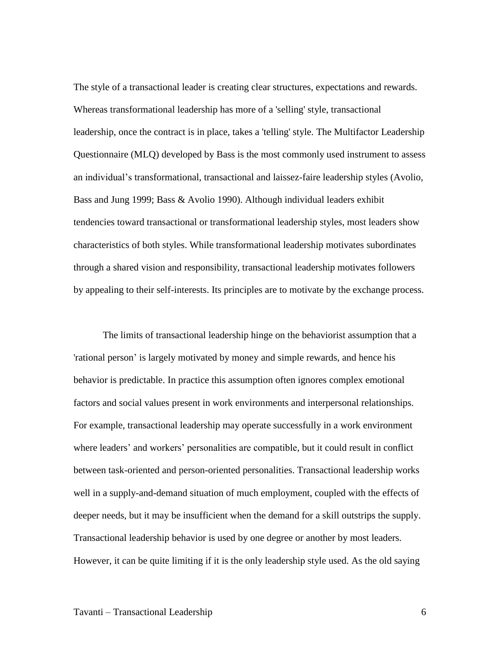The style of a transactional leader is creating clear structures, expectations and rewards. Whereas transformational leadership has more of a 'selling' style, transactional leadership, once the contract is in place, takes a 'telling' style. The Multifactor Leadership Questionnaire (MLQ) developed by Bass is the most commonly used instrument to assess an individual's transformational, transactional and laissez-faire leadership styles (Avolio, Bass and Jung 1999; Bass & Avolio 1990). Although individual leaders exhibit tendencies toward transactional or transformational leadership styles, most leaders show characteristics of both styles. While transformational leadership motivates subordinates through a shared vision and responsibility, transactional leadership motivates followers by appealing to their self-interests. Its principles are to motivate by the exchange process.

The limits of transactional leadership hinge on the behaviorist assumption that a 'rational person' is largely motivated by money and simple rewards, and hence his behavior is predictable. In practice this assumption often ignores complex emotional factors and social values present in work environments and interpersonal relationships. For example, transactional leadership may operate successfully in a work environment where leaders' and workers' personalities are compatible, but it could result in conflict between task-oriented and person-oriented personalities. Transactional leadership works well in a supply-and-demand situation of much employment, coupled with the effects of deeper needs, but it may be insufficient when the demand for a skill outstrips the supply. Transactional leadership behavior is used by one degree or another by most leaders. However, it can be quite limiting if it is the only leadership style used. As the old saying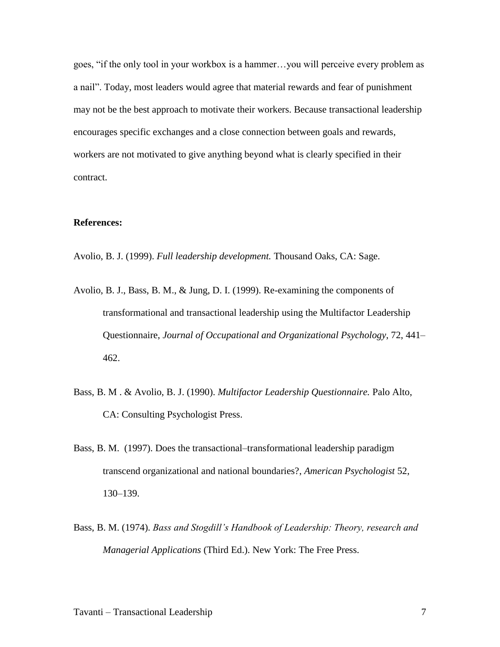goes, "if the only tool in your workbox is a hammer... you will perceive every problem as a nail". Today, most leaders would agree that material rewards and fear of punishment may not be the best approach to motivate their workers. Because transactional leadership encourages specific exchanges and a close connection between goals and rewards, workers are not motivated to give anything beyond what is clearly specified in their contract.

#### **References:**

Avolio, B. J. (1999). *Full leadership development.* Thousand Oaks, CA: Sage.

- Avolio, B. J., Bass, B. M., & Jung, D. I. (1999). Re-examining the components of transformational and transactional leadership using the Multifactor Leadership Questionnaire, *Journal of Occupational and Organizational Psychology*, 72, 441– 462.
- Bass, B. M . & Avolio, B. J. (1990). *Multifactor Leadership Questionnaire.* Palo Alto, CA: Consulting Psychologist Press.
- Bass, B. M. (1997). Does the transactional–transformational leadership paradigm transcend organizational and national boundaries?, *American Psychologist* 52, 130–139.
- Bass, B. M. (1974). *Bass and Stogdill's Handbook of Leadership: Theory, research and Managerial Applications* (Third Ed.). New York: The Free Press.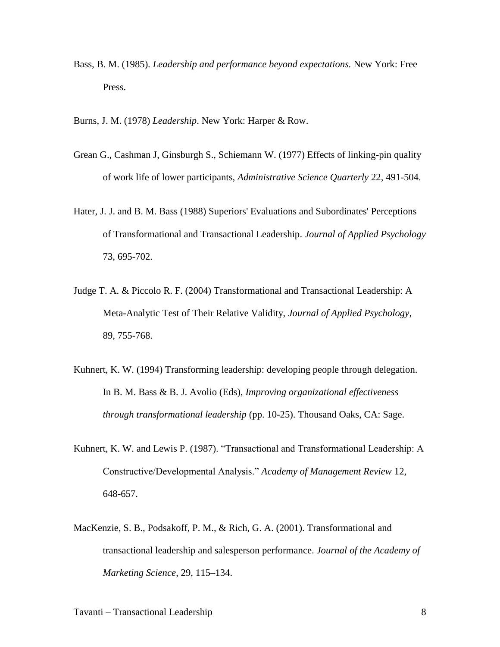Bass, B. M. (1985). *Leadership and performance beyond expectations.* New York: Free Press.

Burns, J. M. (1978) *Leadership*. New York: Harper & Row.

- Grean G., Cashman J, Ginsburgh S., Schiemann W. (1977) Effects of linking-pin quality of work life of lower participants, *Administrative Science Quarterly* 22, 491-504.
- Hater, J. J. and B. M. Bass (1988) Superiors' Evaluations and Subordinates' Perceptions of Transformational and Transactional Leadership. *Journal of Applied Psychology* 73, 695-702.
- Judge T. A. & Piccolo R. F. (2004) Transformational and Transactional Leadership: A Meta-Analytic Test of Their Relative Validity, *Journal of Applied Psychology*, 89, 755-768.
- Kuhnert, K. W. (1994) Transforming leadership: developing people through delegation. In B. M. Bass & B. J. Avolio (Eds), *Improving organizational effectiveness through transformational leadership* (pp. 10-25). Thousand Oaks, CA: Sage.
- Kuhnert, K. W. and Lewis P. (1987). "Transactional and Transformational Leadership: A Constructive/Developmental Analysis.‖ *Academy of Management Review* 12, 648-657.
- MacKenzie, S. B., Podsakoff, P. M., & Rich, G. A. (2001). Transformational and transactional leadership and salesperson performance. *Journal of the Academy of Marketing Science*, 29, 115–134.